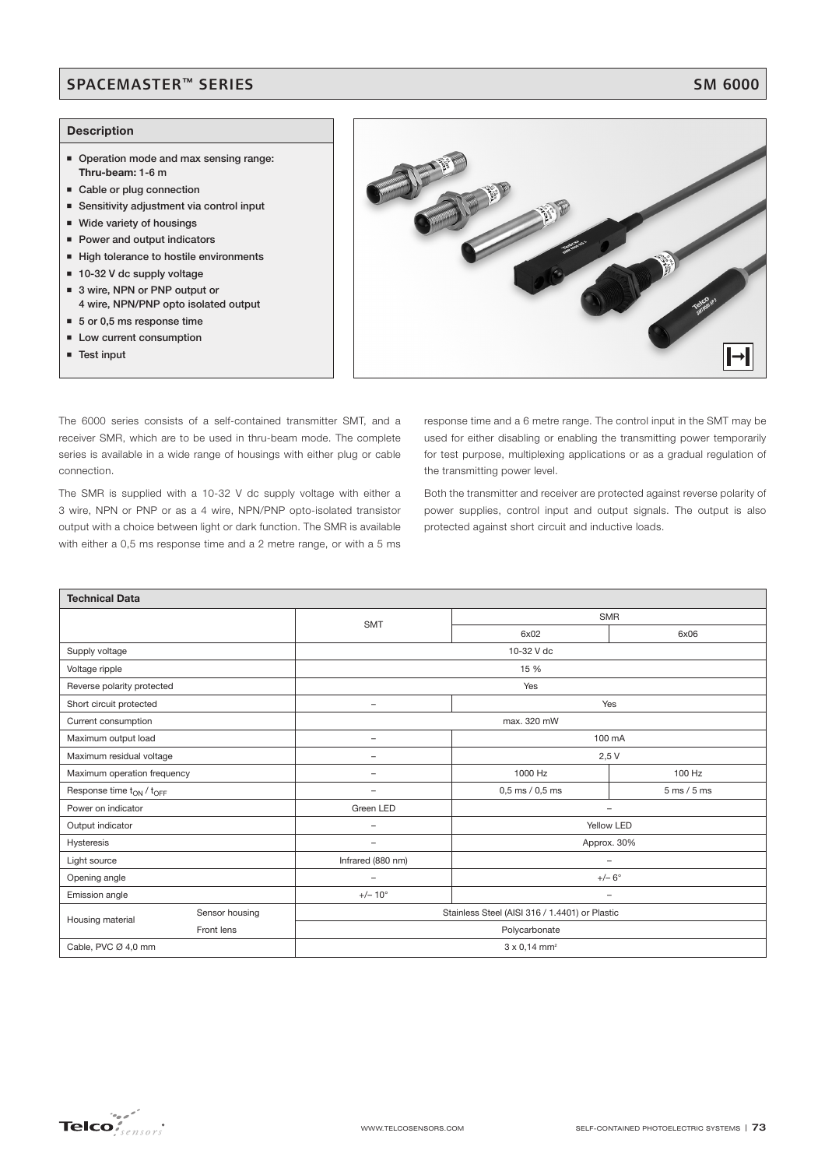### SPACEMASTER™ SERIES SM 6000

### **Description**

- **Operation mode and max sensing range: Thru-beam: 1-6 m**
- **Example or plug connection**
- Sensitivity adjustment via control input
- **Wide variety of housings**
- **Power and output indicators**
- **High tolerance to hostile environments**
- 10-32 V dc supply voltage
- 3 wire, NPN or PNP output or **4 wire, NPN/PNP opto isolated output**
- 5 or 0,5 ms response time
- **E** Low current consumption
- **Test input**



The 6000 series consists of a self-contained transmitter SMT, and a receiver SMR, which are to be used in thru-beam mode. The complete series is available in a wide range of housings with either plug or cable connection.

The SMR is supplied with a 10-32 V dc supply voltage with either a 3 wire, NPN or PNP or as a 4 wire, NPN/PNP opto-isolated transistor output with a choice between light or dark function. The SMR is available with either a 0,5 ms response time and a 2 metre range, or with a 5 ms

response time and a 6 metre range. The control input in the SMT may be used for either disabling or enabling the transmitting power temporarily for test purpose, multiplexing applications or as a gradual regulation of the transmitting power level.

Both the transmitter and receiver are protected against reverse polarity of power supplies, control input and output signals. The output is also protected against short circuit and inductive loads.

| <b>Technical Data</b>                            |                |                                 |                                                |                               |  |  |  |
|--------------------------------------------------|----------------|---------------------------------|------------------------------------------------|-------------------------------|--|--|--|
|                                                  |                | <b>SMT</b>                      | <b>SMR</b>                                     |                               |  |  |  |
|                                                  |                |                                 | 6x02                                           | 6x06                          |  |  |  |
| Supply voltage                                   |                | 10-32 V dc                      |                                                |                               |  |  |  |
| Voltage ripple                                   |                | 15 %                            |                                                |                               |  |  |  |
| Reverse polarity protected                       |                | Yes                             |                                                |                               |  |  |  |
| Short circuit protected                          |                | $\overline{\phantom{0}}$        | Yes                                            |                               |  |  |  |
| Current consumption                              |                | max. 320 mW                     |                                                |                               |  |  |  |
| Maximum output load                              |                | $\overline{\phantom{0}}$        | 100 mA                                         |                               |  |  |  |
| Maximum residual voltage                         |                | $\overline{\phantom{0}}$        | 2,5V                                           |                               |  |  |  |
| Maximum operation frequency                      |                | -                               | 1000 Hz                                        | 100 Hz                        |  |  |  |
| Response time t <sub>ON</sub> / t <sub>OFF</sub> |                |                                 | $0,5$ ms $/ 0,5$ ms                            | $5 \text{ ms} / 5 \text{ ms}$ |  |  |  |
| Power on indicator                               |                | Green LED                       | $\overline{\phantom{m}}$                       |                               |  |  |  |
| Output indicator                                 |                | -                               | Yellow LED                                     |                               |  |  |  |
| Hysteresis                                       |                | $\overline{\phantom{0}}$        | Approx. 30%                                    |                               |  |  |  |
| Light source                                     |                | Infrared (880 nm)               | $\overline{\phantom{a}}$                       |                               |  |  |  |
| Opening angle                                    |                | $\overline{\phantom{0}}$        | $+/- 6^\circ$                                  |                               |  |  |  |
| Emission angle                                   |                | $+/- 10^{\circ}$                | $\qquad \qquad -$                              |                               |  |  |  |
| Housing material                                 | Sensor housing |                                 | Stainless Steel (AISI 316 / 1.4401) or Plastic |                               |  |  |  |
|                                                  | Front lens     | Polycarbonate                   |                                                |                               |  |  |  |
| Cable, PVC Ø 4,0 mm                              |                | $3 \times 0,14$ mm <sup>2</sup> |                                                |                               |  |  |  |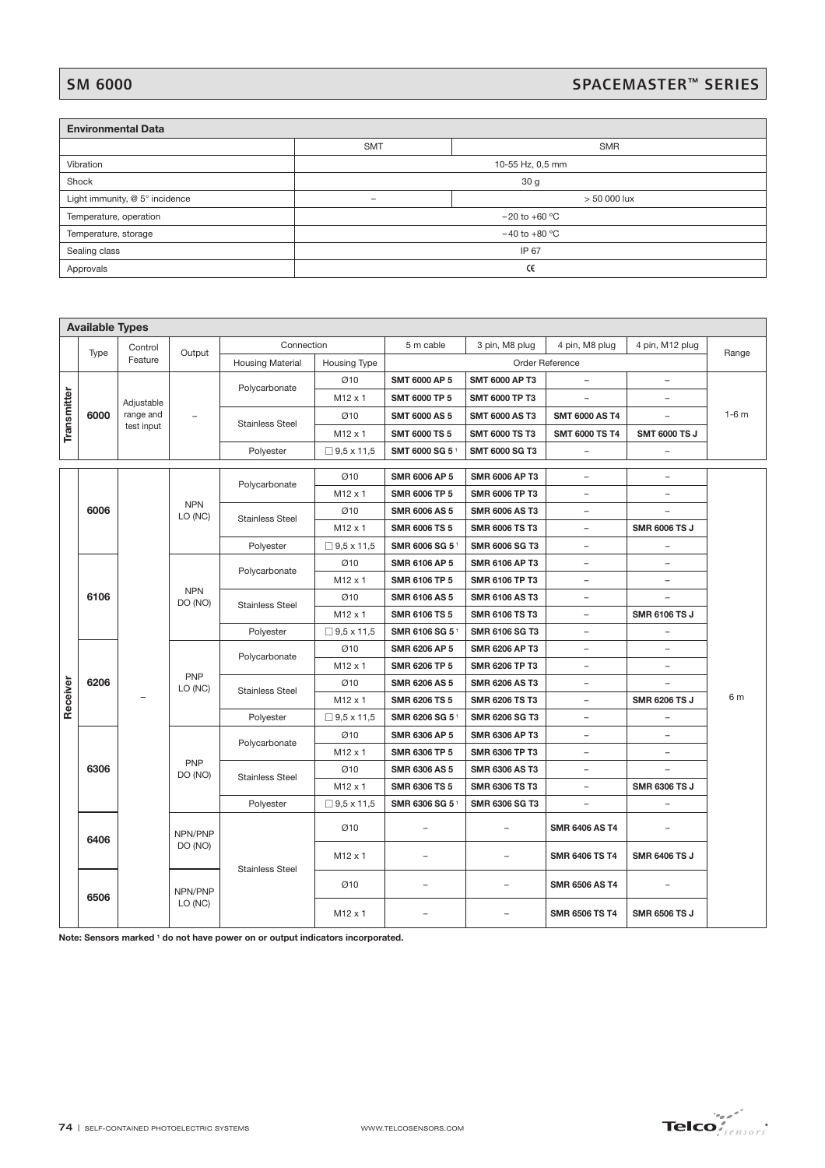# SM 6000<br>SPACEMASTER™ SERIES

| <b>Environmental Data</b>      |                    |            |  |  |  |  |  |
|--------------------------------|--------------------|------------|--|--|--|--|--|
|                                | <b>SMT</b>         | <b>SMR</b> |  |  |  |  |  |
| Vibration                      | 10-55 Hz, 0,5 mm   |            |  |  |  |  |  |
| Shock                          | 30 <sub>g</sub>    |            |  |  |  |  |  |
| Light immunity, @ 5° incidence | $> 50000$ lux<br>- |            |  |  |  |  |  |
| Temperature, operation         | $-20$ to $+60$ °C  |            |  |  |  |  |  |
| Temperature, storage           | $-40$ to $+80$ °C  |            |  |  |  |  |  |
| Sealing class                  | IP 67              |            |  |  |  |  |  |
| Approvals                      |                    | Œ          |  |  |  |  |  |

|             | <b>Available Types</b> |            |                                                           |                                                                                |                      |                            |                          |                          |                          |                |  |
|-------------|------------------------|------------|-----------------------------------------------------------|--------------------------------------------------------------------------------|----------------------|----------------------------|--------------------------|--------------------------|--------------------------|----------------|--|
|             | Type                   | Control    | Output                                                    | Connection                                                                     |                      | 5 m cable                  | 3 pin, M8 plug           | 4 pin, M8 plug           | 4 pin, M12 plug          |                |  |
|             |                        | Feature    |                                                           | <b>Housing Material</b>                                                        | <b>Housing Type</b>  |                            |                          | Order Reference          |                          | Range          |  |
| Transmitter |                        |            |                                                           | Polycarbonate                                                                  | Ø10                  | <b>SMT 6000 AP 5</b>       | <b>SMT 6000 AP T3</b>    | ÷                        | $\overline{a}$           |                |  |
|             |                        | Adjustable |                                                           |                                                                                | M12 x 1              | <b>SMT 6000 TP 5</b>       | <b>SMT 6000 TP T3</b>    |                          |                          |                |  |
|             | 6000                   | range and  |                                                           |                                                                                | Ø10                  | <b>SMT 6000 AS 5</b>       | <b>SMT 6000 AS T3</b>    | <b>SMT 6000 AS T4</b>    |                          | $1-6m$         |  |
|             |                        | test input |                                                           | <b>Stainless Steel</b>                                                         | M12 x 1              | <b>SMT 6000 TS 5</b>       | <b>SMT 6000 TS T3</b>    | <b>SMT 6000 TS T4</b>    | <b>SMT 6000 TS J</b>     |                |  |
|             |                        |            |                                                           | Polyester                                                                      | $\Box$ 9,5 x 11,5    | SMT 6000 SG 51             | <b>SMT 6000 SG T3</b>    | -                        | $\qquad \qquad -$        |                |  |
|             |                        |            |                                                           | Ø10                                                                            | <b>SMR 6006 AP 5</b> | <b>SMR 6006 AP T3</b>      | $\overline{\phantom{0}}$ | $\qquad \qquad -$        |                          |                |  |
|             |                        |            |                                                           | Polycarbonate                                                                  | M12 x 1              | SMR 6006 TP 5              | SMR 6006 TP T3           | $\overline{\phantom{0}}$ | $\overline{\phantom{0}}$ |                |  |
|             | 6006                   |            | <b>NPN</b>                                                |                                                                                | Ø10                  | <b>SMR 6006 AS 5</b>       | <b>SMR 6006 AS T3</b>    | $\qquad \qquad -$        | -                        |                |  |
|             |                        |            | LO (NC)                                                   | <b>Stainless Steel</b>                                                         | M12 x 1              | <b>SMR 6006 TS 5</b>       | <b>SMR 6006 TS T3</b>    | -                        | <b>SMR 6006 TS J</b>     |                |  |
|             |                        |            |                                                           | Polyester                                                                      | $\Box$ 9,5 x 11,5    | SMR 6006 SG 5              | <b>SMR 6006 SG T3</b>    | $\overline{\phantom{a}}$ | -                        |                |  |
|             |                        |            |                                                           |                                                                                | Ø10                  | SMR 6106 AP 5              | SMR 6106 AP T3           | $\overline{\phantom{0}}$ | $\overline{\phantom{0}}$ |                |  |
|             |                        |            |                                                           | Polycarbonate                                                                  | M12 x 1              | <b>SMR 6106 TP 5</b>       | SMR 6106 TP T3           | $\qquad \qquad -$        | $\qquad \qquad -$        |                |  |
|             | 6106                   | <b>NPN</b> |                                                           | Ø10                                                                            | <b>SMR 6106 AS 5</b> | <b>SMR 6106 AS T3</b>      | $\overline{\phantom{0}}$ | $\overline{\phantom{0}}$ |                          |                |  |
|             |                        |            | DO (NO)<br><b>PNP</b><br>LO (NC)<br><b>PNP</b><br>DO (NO) | <b>Stainless Steel</b>                                                         | M12 x 1              | <b>SMR 6106 TS 5</b>       | <b>SMR 6106 TS T3</b>    | $\overline{\phantom{0}}$ | <b>SMR 6106 TS J</b>     |                |  |
|             |                        |            |                                                           | Polyester                                                                      | $\Box$ 9.5 x 11.5    | SMR 6106 SG 51             | <b>SMR 6106 SG T3</b>    | -                        | -                        |                |  |
|             |                        |            |                                                           |                                                                                | Ø10                  | SMR 6206 AP 5              | <b>SMR 6206 AP T3</b>    | -                        | $\qquad \qquad -$        | 6 m            |  |
|             |                        |            |                                                           | Polycarbonate                                                                  | M <sub>12</sub> x 1  | SMR 6206 TP 5              | SMR 6206 TP T3           | -                        | $\overline{\phantom{0}}$ |                |  |
|             | 6206                   |            |                                                           | <b>Stainless Steel</b>                                                         | Ø10                  | <b>SMR 6206 AS 5</b>       | <b>SMR 6206 AS T3</b>    | $\overline{\phantom{0}}$ |                          |                |  |
| Receiver    |                        |            |                                                           |                                                                                | M12 x 1              | SMR 6206 TS 5              | SMR 6206 TS T3           | $\overline{\phantom{0}}$ | <b>SMR 6206 TS J</b>     |                |  |
|             |                        |            |                                                           | Polyester                                                                      | $\Box$ 9,5 x 11,5    | SMR 6206 SG 5 <sup>1</sup> | SMR 6206 SG T3           |                          | $\qquad \qquad -$        |                |  |
|             |                        |            |                                                           | Polycarbonate                                                                  | Ø10                  | SMR 6306 AP 5              | <b>SMR 6306 AP T3</b>    | $\overline{\phantom{0}}$ | $\overline{a}$           |                |  |
|             |                        |            |                                                           |                                                                                | M12 x 1              | SMR 6306 TP 5              | SMR 6306 TP T3           | -                        | $\qquad \qquad -$        |                |  |
|             | 6306                   |            |                                                           | <b>Stainless Steel</b>                                                         | Ø10                  | SMR 6306 AS 5              | <b>SMR 6306 AS T3</b>    | -                        | -                        |                |  |
|             |                        |            |                                                           |                                                                                | M12 x 1              | SMR 6306 TS 5              | <b>SMR 6306 TS T3</b>    | -                        | <b>SMR 6306 TS J</b>     |                |  |
|             |                        |            |                                                           | Polyester                                                                      | $\Box$ 9,5 x 11,5    | SMR 6306 SG 51             | <b>SMR 6306 SG T3</b>    | $\qquad \qquad -$        | $\qquad \qquad -$        |                |  |
|             | 6406                   |            | NPN/PNP                                                   |                                                                                | Ø10                  | $\overline{a}$             | $\overline{\phantom{0}}$ | SMR 6406 AS T4           | ۳                        |                |  |
|             |                        |            | DO (NO)                                                   | <b>Stainless Steel</b>                                                         | M12 x 1              | -                          | $\overline{\phantom{0}}$ | SMR 6406 TS T4           | <b>SMR 6406 TS J</b>     |                |  |
|             | 6506                   |            | NPN/PNP                                                   |                                                                                |                      |                            | Ø10                      | $\overline{a}$           |                          | SMR 6506 AS T4 |  |
|             |                        |            | LO (NC)                                                   |                                                                                | M12 x 1              | $\overline{a}$             | $\overline{a}$           | SMR 6506 TS T4           | <b>SMR 6506 TS J</b>     |                |  |
|             |                        |            |                                                           | Note: Sensors marked 1 do not have power on or output indicators incorporated. |                      |                            |                          |                          |                          |                |  |
|             |                        |            | 74   SELF-CONTAINED PHOTOELECTRIC SYSTEMS                 |                                                                                |                      | WWW.TELCOSENSORS.COM       |                          |                          |                          | <b>Telco</b>   |  |

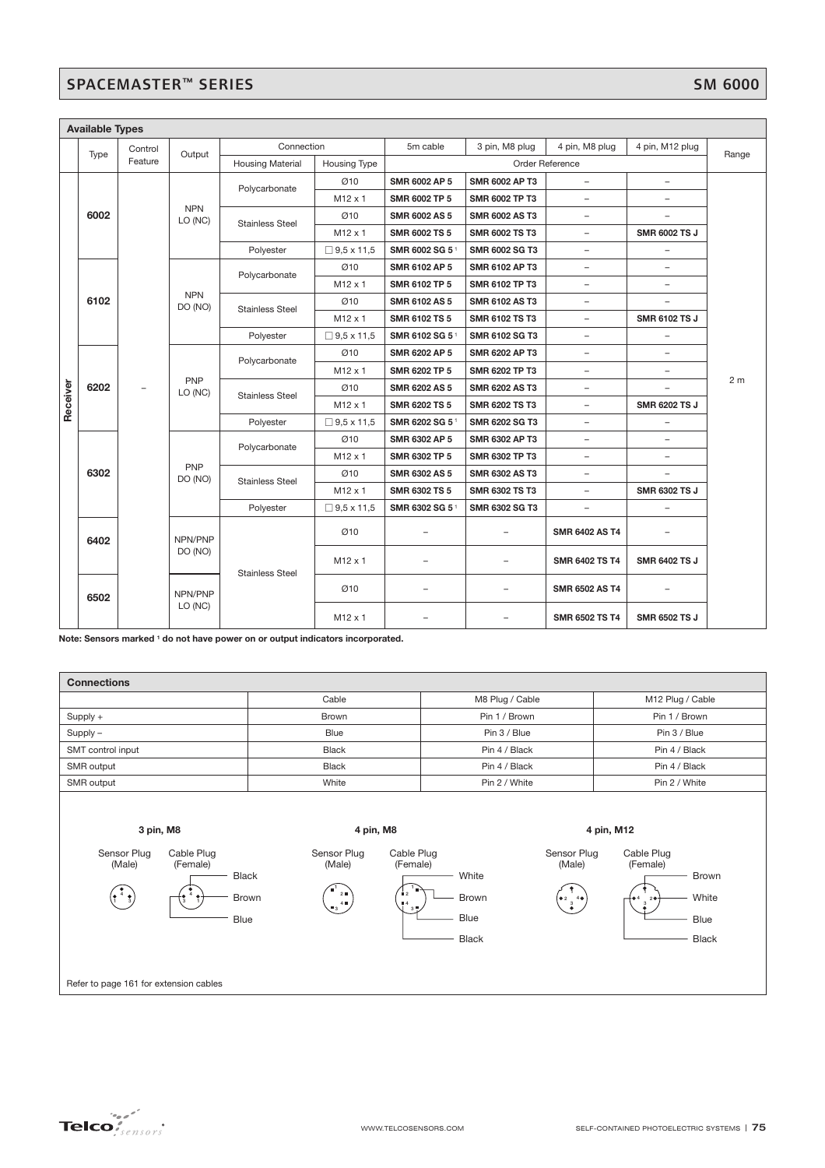# SPACEMASTER™ SERIES

|          | <b>Available Types</b> |         |                                         |                                         |                   |                          |                          |                          |                          |                |  |  |  |  |  |         |  |  |                |                          |  |                       |                      |  |
|----------|------------------------|---------|-----------------------------------------|-----------------------------------------|-------------------|--------------------------|--------------------------|--------------------------|--------------------------|----------------|--|--|--|--|--|---------|--|--|----------------|--------------------------|--|-----------------------|----------------------|--|
|          | Type                   | Control | Output                                  | Connection                              |                   | 5m cable                 | 3 pin, M8 plug           | 4 pin, M8 plug           | 4 pin, M12 plug          | Range          |  |  |  |  |  |         |  |  |                |                          |  |                       |                      |  |
|          |                        | Feature |                                         | <b>Housing Material</b>                 | Housing Type      |                          |                          | Order Reference          |                          |                |  |  |  |  |  |         |  |  |                |                          |  |                       |                      |  |
|          | 6002                   |         |                                         | Polycarbonate                           | Ø10               | <b>SMR 6002 AP 5</b>     | <b>SMR 6002 AP T3</b>    | $\overline{\phantom{0}}$ | $\overline{\phantom{0}}$ |                |  |  |  |  |  |         |  |  |                |                          |  |                       |                      |  |
|          |                        |         | <b>NPN</b><br>LO (NC)                   |                                         | $M12 \times 1$    | SMR 6002 TP 5            | <b>SMR 6002 TP T3</b>    | $\overline{\phantom{0}}$ | $\overline{\phantom{a}}$ |                |  |  |  |  |  |         |  |  |                |                          |  |                       |                      |  |
|          |                        |         |                                         | <b>Stainless Steel</b>                  | Ø10               | <b>SMR 6002 AS 5</b>     | <b>SMR 6002 AS T3</b>    | $\overline{\phantom{a}}$ |                          |                |  |  |  |  |  |         |  |  |                |                          |  |                       |                      |  |
|          |                        |         |                                         |                                         | M12 x 1           | <b>SMR 6002 TS 5</b>     | <b>SMR 6002 TS T3</b>    | $\overline{\phantom{a}}$ | <b>SMR 6002 TS J</b>     |                |  |  |  |  |  |         |  |  |                |                          |  |                       |                      |  |
|          |                        |         |                                         | Polyester                               | $\Box$ 9,5 x 11,5 | SMR 6002 SG 51           | <b>SMR 6002 SG T3</b>    | $\overline{\phantom{0}}$ | $\overline{\phantom{0}}$ |                |  |  |  |  |  |         |  |  |                |                          |  |                       |                      |  |
|          |                        |         |                                         | Polycarbonate                           | Ø10               | <b>SMR 6102 AP 5</b>     | <b>SMR 6102 AP T3</b>    | $\overline{\phantom{a}}$ | $\overline{\phantom{a}}$ |                |  |  |  |  |  |         |  |  |                |                          |  |                       |                      |  |
|          |                        |         | <b>NPN</b>                              |                                         | $M12 \times 1$    | SMR 6102 TP 5            | <b>SMR 6102 TP T3</b>    |                          | $\overline{\phantom{0}}$ |                |  |  |  |  |  |         |  |  |                |                          |  |                       |                      |  |
|          | 6102                   |         | DO (NO)                                 | <b>Stainless Steel</b>                  | Ø10               | <b>SMR 6102 AS 5</b>     | <b>SMR 6102 AS T3</b>    | $\overline{\phantom{a}}$ | $\overline{\phantom{0}}$ |                |  |  |  |  |  |         |  |  |                |                          |  |                       |                      |  |
|          |                        |         |                                         |                                         | M12 x 1           | <b>SMR 6102 TS 5</b>     | <b>SMR 6102 TS T3</b>    | $\overline{\phantom{a}}$ | <b>SMR 6102 TS J</b>     |                |  |  |  |  |  |         |  |  |                |                          |  |                       |                      |  |
|          |                        |         |                                         | Polyester                               | $\Box$ 9,5 x 11,5 | SMR 6102 SG 51           | SMR 6102 SG T3           | $\overline{\phantom{0}}$ | $\overline{\phantom{a}}$ | 2 <sub>m</sub> |  |  |  |  |  |         |  |  |                |                          |  |                       |                      |  |
|          |                        |         | PNP<br>LO (NC)<br><b>PNP</b><br>DO (NO) | Polycarbonate<br><b>Stainless Steel</b> | Ø10               | <b>SMR 6202 AP 5</b>     | <b>SMR 6202 AP T3</b>    | $\overline{\phantom{a}}$ | $\overline{\phantom{a}}$ |                |  |  |  |  |  |         |  |  |                |                          |  |                       |                      |  |
|          |                        |         |                                         |                                         | $M12 \times 1$    | SMR 6202 TP 5            | <b>SMR 6202 TP T3</b>    | $\overline{\phantom{a}}$ | $\overline{\phantom{0}}$ |                |  |  |  |  |  |         |  |  |                |                          |  |                       |                      |  |
| Receiver | 6202                   |         |                                         |                                         | Ø10               | SMR 6202 AS 5            | <b>SMR 6202 AS T3</b>    | $\overline{\phantom{0}}$ | $\overline{\phantom{0}}$ |                |  |  |  |  |  |         |  |  |                |                          |  |                       |                      |  |
|          |                        |         |                                         |                                         | $M12 \times 1$    | <b>SMR 6202 TS 5</b>     | <b>SMR 6202 TS T3</b>    | $\overline{\phantom{a}}$ | <b>SMR 6202 TS J</b>     |                |  |  |  |  |  |         |  |  |                |                          |  |                       |                      |  |
|          |                        |         |                                         | Polyester                               | $\Box$ 9,5 x 11,5 | SMR 6202 SG 51           | <b>SMR 6202 SG T3</b>    | $\overline{\phantom{a}}$ | $\overline{\phantom{a}}$ |                |  |  |  |  |  |         |  |  |                |                          |  |                       |                      |  |
|          |                        |         |                                         | Polycarbonate                           | Ø10               | SMR 6302 AP 5            | <b>SMR 6302 AP T3</b>    | $\overline{\phantom{a}}$ | $\overline{\phantom{a}}$ |                |  |  |  |  |  |         |  |  |                |                          |  |                       |                      |  |
|          |                        |         |                                         |                                         | $M12 \times 1$    | SMR 6302 TP 5            | SMR 6302 TP T3           | $\overline{\phantom{a}}$ | $\overline{\phantom{a}}$ |                |  |  |  |  |  |         |  |  |                |                          |  |                       |                      |  |
|          | 6302                   |         |                                         | <b>Stainless Steel</b>                  | Ø10               | <b>SMR 6302 AS 5</b>     | <b>SMR 6302 AS T3</b>    | $\overline{\phantom{a}}$ |                          |                |  |  |  |  |  |         |  |  |                |                          |  |                       |                      |  |
|          |                        |         |                                         |                                         | $M12 \times 1$    | <b>SMR 6302 TS 5</b>     | <b>SMR 6302 TS T3</b>    | $\overline{\phantom{a}}$ | SMR 6302 TS J            |                |  |  |  |  |  |         |  |  |                |                          |  |                       |                      |  |
|          |                        |         |                                         | Polyester                               | $\Box$ 9,5 x 11,5 | SMR 6302 SG 51           | SMR 6302 SG T3           |                          | $\overline{\phantom{0}}$ |                |  |  |  |  |  |         |  |  |                |                          |  |                       |                      |  |
|          | 6402                   |         | NPN/PNP<br>DO (NO)                      | <b>Stainless Steel</b>                  | Ø10               | $\overline{\phantom{a}}$ | $\overline{\phantom{m}}$ | SMR 6402 AS T4           |                          |                |  |  |  |  |  |         |  |  |                |                          |  |                       |                      |  |
|          |                        |         |                                         |                                         | $M12 \times 1$    | $\overline{\phantom{0}}$ | $\overline{\phantom{0}}$ | <b>SMR 6402 TS T4</b>    | <b>SMR 6402 TS J</b>     |                |  |  |  |  |  |         |  |  |                |                          |  |                       |                      |  |
|          | 6502                   |         | NPN/PNP                                 |                                         | Ø10               | $\overline{\phantom{0}}$ | $\overline{\phantom{0}}$ | <b>SMR 6502 AS T4</b>    |                          |                |  |  |  |  |  |         |  |  |                |                          |  |                       |                      |  |
|          |                        |         |                                         |                                         |                   |                          |                          |                          |                          |                |  |  |  |  |  | LO (NC) |  |  | $M12 \times 1$ | $\overline{\phantom{a}}$ |  | <b>SMR 6502 TS T4</b> | <b>SMR 6502 TS J</b> |  |

**Note: Sensors marked 1 do not have power on or output indicators incorporated.**

| <b>Connections</b> |              |                 |                  |  |  |  |
|--------------------|--------------|-----------------|------------------|--|--|--|
|                    | Cable        | M8 Plug / Cable | M12 Plug / Cable |  |  |  |
| Supply +           | Brown        | Pin 1 / Brown   | Pin 1 / Brown    |  |  |  |
| $Supply -$         | Blue         | Pin 3 / Blue    | Pin 3 / Blue     |  |  |  |
| SMT control input  | <b>Black</b> | Pin 4 / Black   | Pin 4 / Black    |  |  |  |
| SMR output         | <b>Black</b> | Pin 4 / Black   | Pin 4 / Black    |  |  |  |
| SMR output         | White        | Pin 2 / White   | Pin 2 / White    |  |  |  |
|                    |              |                 |                  |  |  |  |
|                    |              |                 |                  |  |  |  |
| 3 pin, M8          | 4 pin, M8    |                 | 4 pin, M12       |  |  |  |







(Male)

**4 3** Black Brown Blue

White



 $\begin{bmatrix} 1 \\ 2 \\ 3 \end{bmatrix}$ 



Cable Plug (Female)

Brown

White Blue

Black



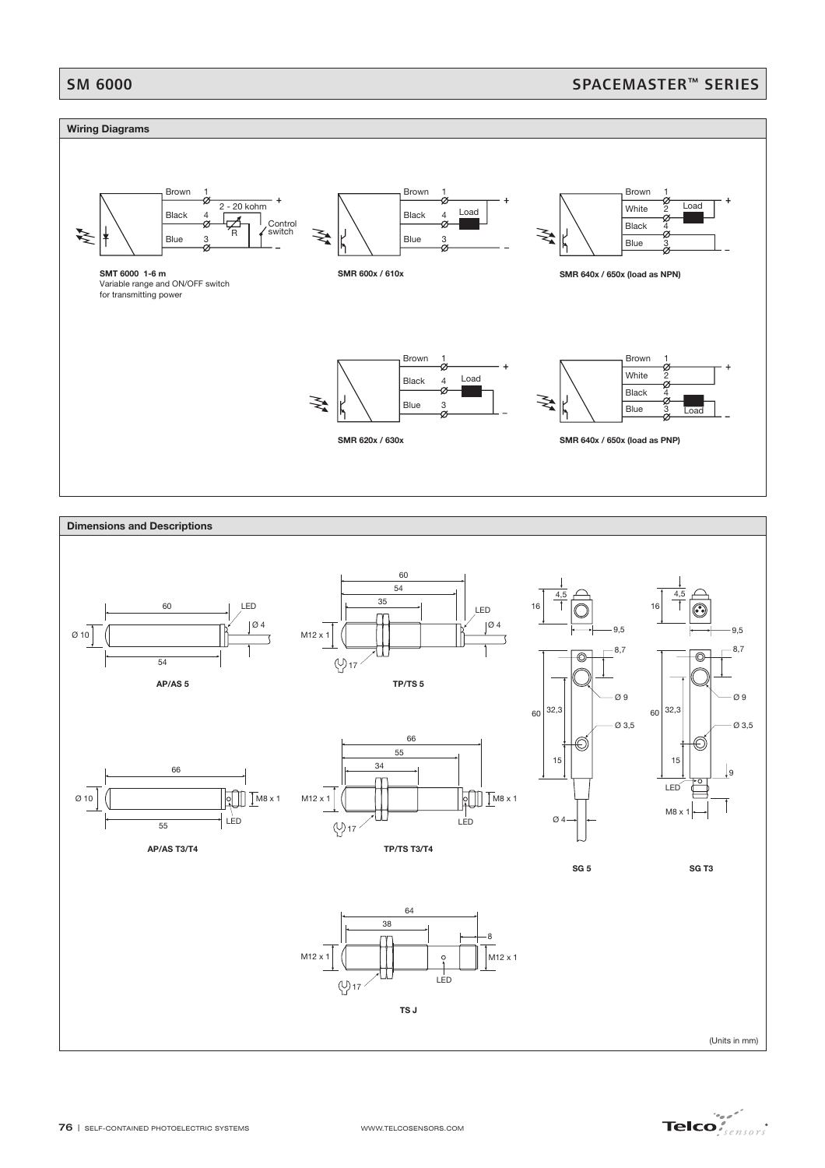